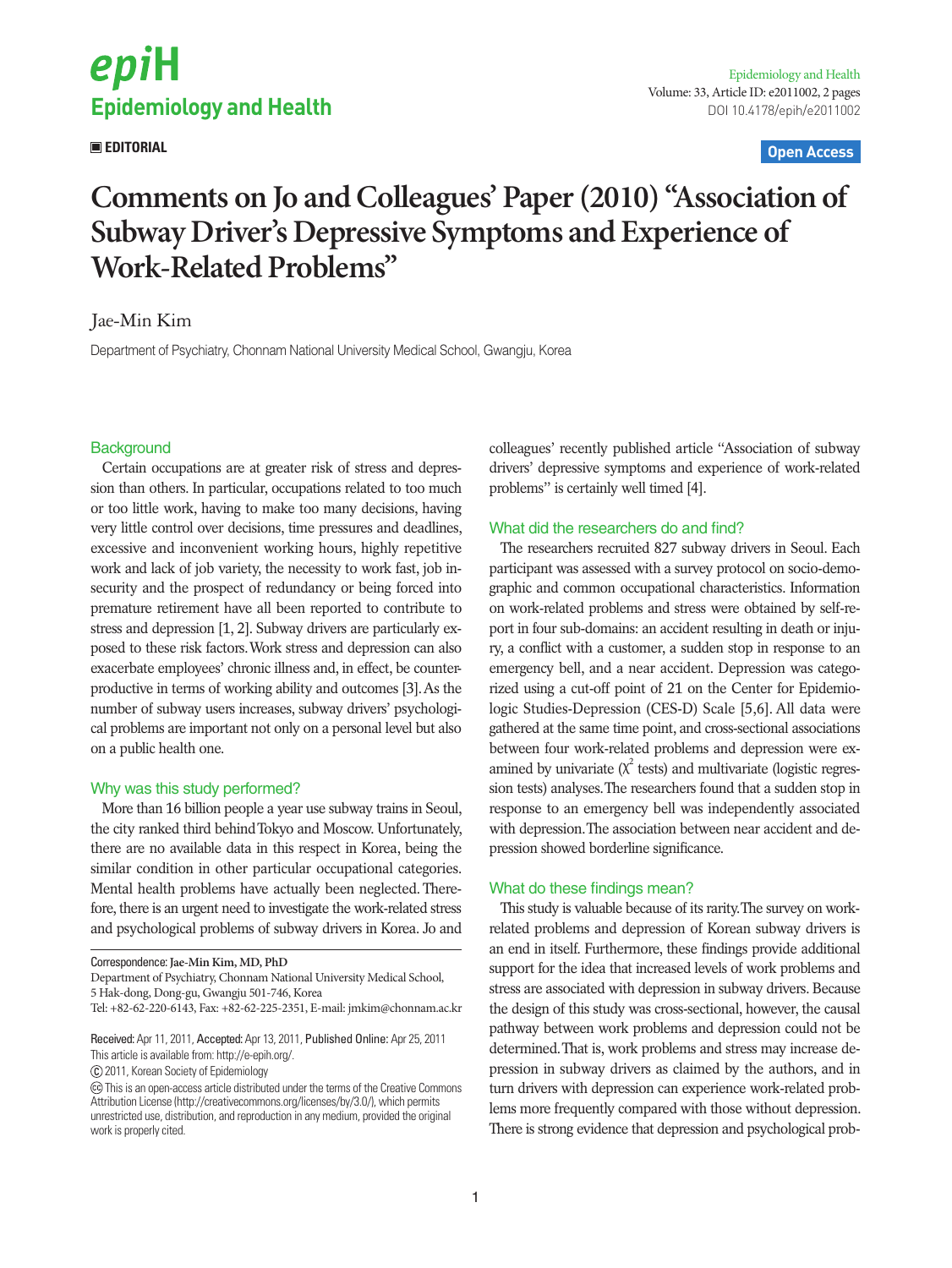

# **EDITORIAL Open Access**

# **Comments on Jo and Colleagues' Paper (2010) "Association of Subway Driver's Depressive Symptoms and Experience of Work-Related Problems"**

# Jae-Min Kim

Department of Psychiatry, Chonnam National University Medical School, Gwangju, Korea

# **Background**

Certain occupations are at greater risk of stress and depression than others. In particular, occupations related to too much or too little work, having to make too many decisions, having very little control over decisions, time pressures and deadlines, excessive and inconvenient working hours, highly repetitive work and lack of job variety, the necessity to work fast, job insecurity and the prospect of redundancy or being forced into premature retirement have all been reported to contribute to stress and depression [1, 2]. Subway drivers are particularly exposed to these risk factors. Work stress and depression can also exacerbate employees' chronic illness and, in effect, be counterproductive in terms of working ability and outcomes [3]. As the number of subway users increases, subway drivers' psychological problems are important not only on a personal level but also on a public health one.

## Why was this study performed?

More than 16 billion people a year use subway trains in Seoul, the city ranked third behind Tokyo and Moscow. Unfortunately, there are no available data in this respect in Korea, being the similar condition in other particular occupational categories. Mental health problems have actually been neglected. Therefore, there is an urgent need to investigate the work-related stress and psychological problems of subway drivers in Korea. Jo and

Correspondence: **Jae-Min Kim, MD, PhD**

Received: Apr 11, 2011, Accepted: Apr 13, 2011, Published Online: Apr 25, 2011 This article is available from: http://e-epih.org/.

2011, Korean Society of Epidemiology

colleagues' recently published article "Association of subway drivers' depressive symptoms and experience of work-related problems" is certainly well timed [4].

# What did the researchers do and find?

The researchers recruited 827 subway drivers in Seoul. Each participant was assessed with a survey protocol on socio-demographic and common occupational characteristics. Information on work-related problems and stress were obtained by self-report in four sub-domains: an accident resulting in death or injury, a conflict with a customer, a sudden stop in response to an emergency bell, and a near accident. Depression was categorized using a cut-off point of 21 on the Center for Epidemiologic Studies-Depression (CES-D) Scale [5,6]. All data were gathered at the same time point, and cross-sectional associations between four work-related problems and depression were examined by univariate  $(\chi^2$  tests) and multivariate (logistic regression tests) analyses. The researchers found that a sudden stop in response to an emergency bell was independently associated with depression. The association between near accident and depression showed borderline significance.

## What do these findings mean?

This study is valuable because of its rarity. The survey on workrelated problems and depression of Korean subway drivers is an end in itself. Furthermore, these findings provide additional support for the idea that increased levels of work problems and stress are associated with depression in subway drivers. Because the design of this study was cross-sectional, however, the causal pathway between work problems and depression could not be determined. That is, work problems and stress may increase depression in subway drivers as claimed by the authors, and in turn drivers with depression can experience work-related problems more frequently compared with those without depression. There is strong evidence that depression and psychological prob-

Department of Psychiatry, Chonnam National University Medical School, 5 Hak-dong, Dong-gu, Gwangju 501-746, Korea

Tel: +82-62-220-6143, Fax: +82-62-225-2351, E-mail: jmkim@chonnam.ac.kr

This is an open-access article distributed under the terms of the Creative Commons Attribution License (http://creativecommons.org/licenses/by/3.0/), which permits unrestricted use, distribution, and reproduction in any medium, provided the original work is properly cited.